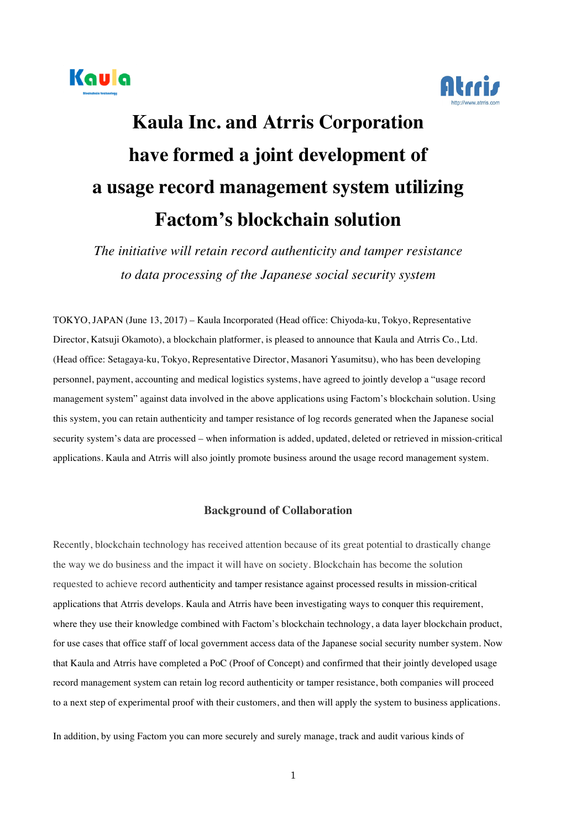



## **Kaula Inc. and Atrris Corporation have formed a joint development of a usage record management system utilizing Factom's blockchain solution**

*The initiative will retain record authenticity and tamper resistance to data processing of the Japanese social security system*

TOKYO, JAPAN (June 13, 2017) – Kaula Incorporated (Head office: Chiyoda-ku, Tokyo, Representative Director, Katsuji Okamoto), a blockchain platformer, is pleased to announce that Kaula and Atrris Co., Ltd. (Head office: Setagaya-ku, Tokyo, Representative Director, Masanori Yasumitsu), who has been developing personnel, payment, accounting and medical logistics systems, have agreed to jointly develop a "usage record management system" against data involved in the above applications using Factom's blockchain solution. Using this system, you can retain authenticity and tamper resistance of log records generated when the Japanese social security system's data are processed – when information is added, updated, deleted or retrieved in mission-critical applications. Kaula and Atrris will also jointly promote business around the usage record management system.

## **Background of Collaboration**

Recently, blockchain technology has received attention because of its great potential to drastically change the way we do business and the impact it will have on society. Blockchain has become the solution requested to achieve record authenticity and tamper resistance against processed results in mission-critical applications that Atrris develops. Kaula and Atrris have been investigating ways to conquer this requirement, where they use their knowledge combined with Factom's blockchain technology, a data layer blockchain product, for use cases that office staff of local government access data of the Japanese social security number system. Now that Kaula and Atrris have completed a PoC (Proof of Concept) and confirmed that their jointly developed usage record management system can retain log record authenticity or tamper resistance, both companies will proceed to a next step of experimental proof with their customers, and then will apply the system to business applications.

In addition, by using Factom you can more securely and surely manage, track and audit various kinds of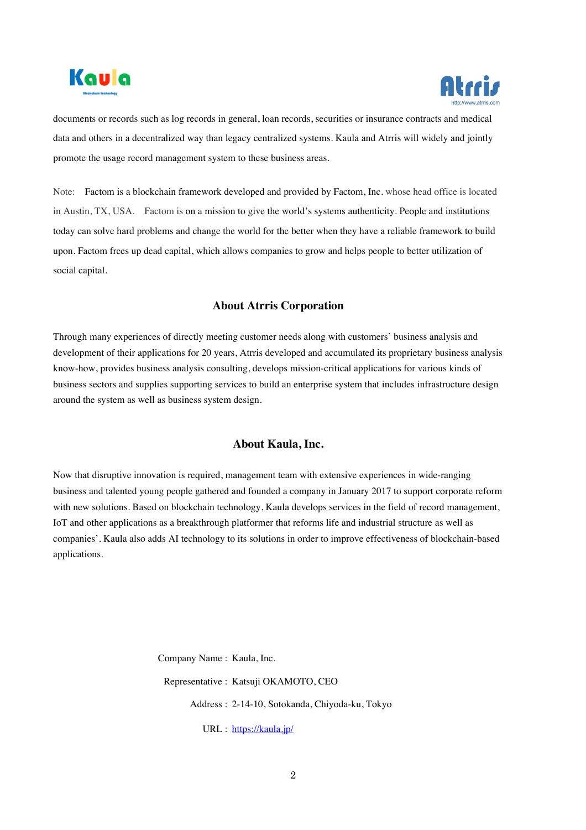



documents or records such as log records in general, loan records, securities or insurance contracts and medical data and others in a decentralized way than legacy centralized systems. Kaula and Atrris will widely and jointly promote the usage record management system to these business areas.

Note: Factom is a blockchain framework developed and provided by Factom, Inc. whose head office is located in Austin, TX, USA. Factom is on a mission to give the world's systems authenticity. People and institutions today can solve hard problems and change the world for the better when they have a reliable framework to build upon. Factom frees up dead capital, which allows companies to grow and helps people to better utilization of social capital.

## **About Atrris Corporation**

Through many experiences of directly meeting customer needs along with customers' business analysis and development of their applications for 20 years, Atrris developed and accumulated its proprietary business analysis know-how, provides business analysis consulting, develops mission-critical applications for various kinds of business sectors and supplies supporting services to build an enterprise system that includes infrastructure design around the system as well as business system design.

## **About Kaula, Inc.**

Now that disruptive innovation is required, management team with extensive experiences in wide-ranging business and talented young people gathered and founded a company in January 2017 to support corporate reform with new solutions. Based on blockchain technology, Kaula develops services in the field of record management, IoT and other applications as a breakthrough platformer that reforms life and industrial structure as well as companies'. Kaula also adds AI technology to its solutions in order to improve effectiveness of blockchain-based applications.

> Company Name : Kaula, Inc. Representative : Katsuji OKAMOTO, CEO Address : 2-14-10, Sotokanda, Chiyoda-ku, Tokyo URL : https://kaula.jp/